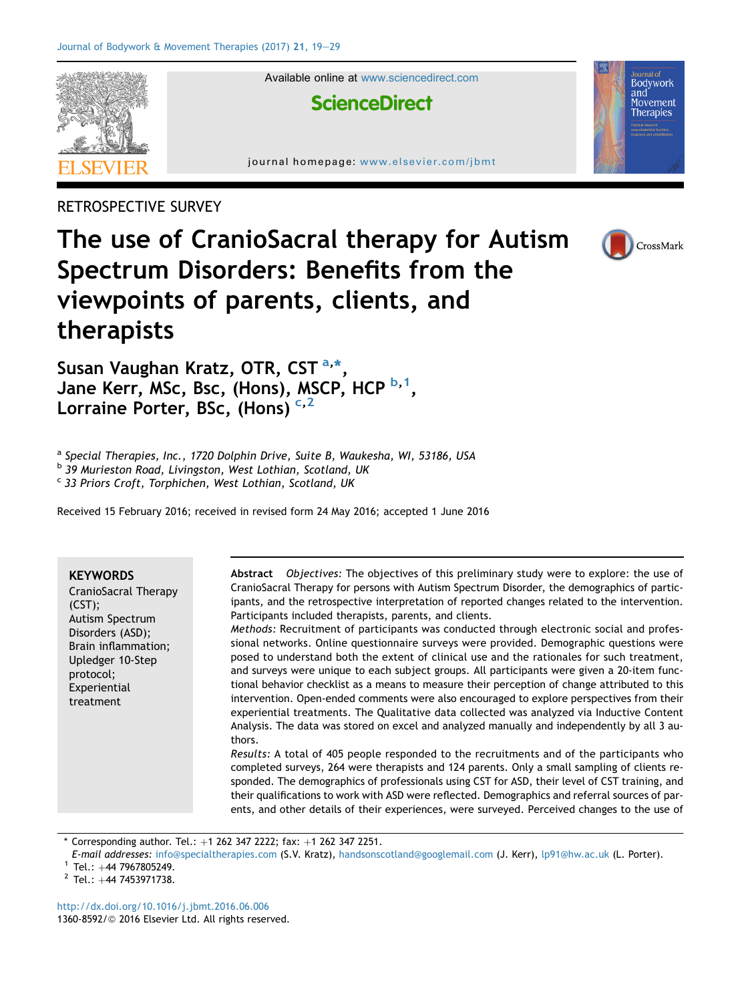

Available online at [www.sciencedirect.com](www.sciencedirect.com/science/journal/13608592)

# **ScienceDirect**

journal homepage: [www.elsevier.com/jbmt](http://www.elsevier.com/jbmt)

RETROSPECTIVE SURVEY

# The use of CranioSacral therapy for Autism Spectrum Disorders: Benefits from the viewpoints of parents, clients, and therapists



**Bodywork** and Movement **Therapies** 

Susan Vaughan Kratz, OTR, CST<sup>a,\*</sup>, Jane Kerr, MSc, Bsc, (Hons), MSCP, HCP  $^{\mathsf{b},\mathsf{1}},$ Lorraine Porter, BSc,  $(Hons)$ <sup>c,2</sup>

<sup>a</sup> Special Therapies, Inc., 1720 Dolphin Drive, Suite B, Waukesha, WI, 53186, USA

b 39 Murieston Road, Livingston, West Lothian, Scotland, UK

<sup>c</sup> 33 Priors Croft, Torphichen, West Lothian, Scotland, UK

Received 15 February 2016; received in revised form 24 May 2016; accepted 1 June 2016

# **KEYWORDS**

CranioSacral Therapy (CST); Autism Spectrum Disorders (ASD); Brain inflammation; Upledger 10-Step protocol; Experiential treatment

Abstract Objectives: The objectives of this preliminary study were to explore: the use of CranioSacral Therapy for persons with Autism Spectrum Disorder, the demographics of participants, and the retrospective interpretation of reported changes related to the intervention. Participants included therapists, parents, and clients.

Methods: Recruitment of participants was conducted through electronic social and professional networks. Online questionnaire surveys were provided. Demographic questions were posed to understand both the extent of clinical use and the rationales for such treatment, and surveys were unique to each subject groups. All participants were given a 20-item functional behavior checklist as a means to measure their perception of change attributed to this intervention. Open-ended comments were also encouraged to explore perspectives from their experiential treatments. The Qualitative data collected was analyzed via Inductive Content Analysis. The data was stored on excel and analyzed manually and independently by all 3 authors.

Results: A total of 405 people responded to the recruitments and of the participants who completed surveys, 264 were therapists and 124 parents. Only a small sampling of clients responded. The demographics of professionals using CST for ASD, their level of CST training, and their qualifications to work with ASD were reflected. Demographics and referral sources of parents, and other details of their experiences, were surveyed. Perceived changes to the use of

\* Corresponding author. Tel.:  $+1$  262 347 2222; fax:  $+1$  262 347 2251.

E-mail addresses: [info@specialtherapies.com](mailto:info@specialtherapies.com) (S.V. Kratz), [handsonscotland@googlemail.com](mailto:handsonscotland@googlemail.com) (J. Kerr), [lp91@hw.ac.uk](mailto:lp91@hw.ac.uk) (L. Porter).<br><sup>1</sup> Tel.: +44 7967805249.<br><sup>2</sup> Tel.: +44 7453971738.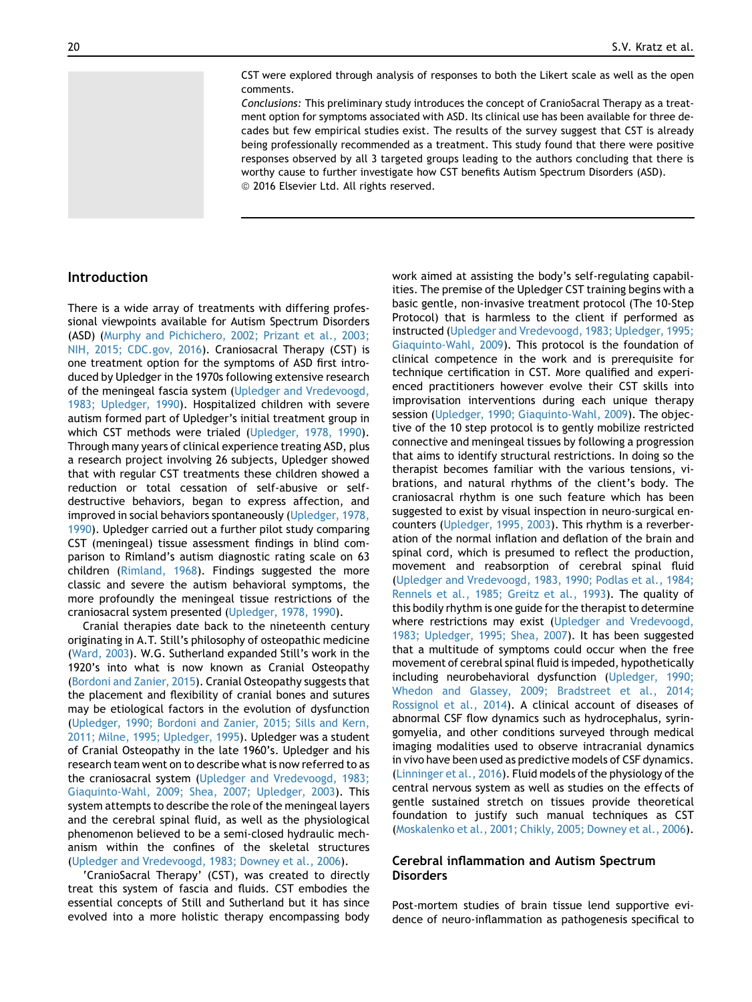CST were explored through analysis of responses to both the Likert scale as well as the open comments.

Conclusions: This preliminary study introduces the concept of CranioSacral Therapy as a treatment option for symptoms associated with ASD. Its clinical use has been available for three decades but few empirical studies exist. The results of the survey suggest that CST is already being professionally recommended as a treatment. This study found that there were positive responses observed by all 3 targeted groups leading to the authors concluding that there is worthy cause to further investigate how CST benefits Autism Spectrum Disorders (ASD).  $@$  2016 Elsevier Ltd. All rights reserved.

#### Introduction

There is a wide array of treatments with differing professional viewpoints available for Autism Spectrum Disorders (ASD) [\(Murphy and Pichichero, 2002; Prizant et al., 2003;](#page-9-0) [NIH, 2015; CDC.gov, 2016\)](#page-9-0). Craniosacral Therapy (CST) is one treatment option for the symptoms of ASD first introduced by Upledger in the 1970s following extensive research of the meningeal fascia system ([Upledger and Vredevoogd,](#page-10-0) [1983; Upledger, 1990](#page-10-0)). Hospitalized children with severe autism formed part of Upledger's initial treatment group in which CST methods were trialed [\(Upledger, 1978, 1990](#page-10-0)). Through many years of clinical experience treating ASD, plus a research project involving 26 subjects, Upledger showed that with regular CST treatments these children showed a reduction or total cessation of self-abusive or selfdestructive behaviors, began to express affection, and improved in social behaviors spontaneously [\(Upledger, 1978,](#page-10-0) [1990](#page-10-0)). Upledger carried out a further pilot study comparing CST (meningeal) tissue assessment findings in blind comparison to Rimland's autism diagnostic rating scale on 63 children ([Rimland, 1968](#page-9-0)). Findings suggested the more classic and severe the autism behavioral symptoms, the more profoundly the meningeal tissue restrictions of the craniosacral system presented [\(Upledger, 1978, 1990\)](#page-10-0).

Cranial therapies date back to the nineteenth century originating in A.T. Still's philosophy of osteopathic medicine [\(Ward, 2003](#page-10-0)). W.G. Sutherland expanded Still's work in the 1920's into what is now known as Cranial Osteopathy [\(Bordoni and Zanier, 2015\)](#page-8-0). Cranial Osteopathy suggests that the placement and flexibility of cranial bones and sutures may be etiological factors in the evolution of dysfunction [\(Upledger, 1990; Bordoni and Zanier, 2015; Sills and Kern,](#page-10-0) [2011; Milne, 1995; Upledger, 1995\)](#page-10-0). Upledger was a student of Cranial Osteopathy in the late 1960's. Upledger and his research team went on to describe what is now referred to as the craniosacral system [\(Upledger and Vredevoogd, 1983;](#page-10-0) [Giaquinto-Wahl, 2009; Shea, 2007; Upledger, 2003\)](#page-10-0). This system attempts to describe the role of the meningeal layers and the cerebral spinal fluid, as well as the physiological phenomenon believed to be a semi-closed hydraulic mechanism within the confines of the skeletal structures [\(Upledger and Vredevoogd, 1983; Downey et al., 2006\)](#page-10-0).

'CranioSacral Therapy' (CST), was created to directly treat this system of fascia and fluids. CST embodies the essential concepts of Still and Sutherland but it has since evolved into a more holistic therapy encompassing body work aimed at assisting the body's self-regulating capabilities. The premise of the Upledger CST training begins with a basic gentle, non-invasive treatment protocol (The 10-Step Protocol) that is harmless to the client if performed as instructed ([Upledger and Vredevoogd, 1983; Upledger, 1995;](#page-10-0) [Giaquinto-Wahl, 2009\)](#page-10-0). This protocol is the foundation of clinical competence in the work and is prerequisite for technique certification in CST. More qualified and experienced practitioners however evolve their CST skills into improvisation interventions during each unique therapy session ([Upledger, 1990; Giaquinto-Wahl, 2009](#page-10-0)). The objective of the 10 step protocol is to gently mobilize restricted connective and meningeal tissues by following a progression that aims to identify structural restrictions. In doing so the therapist becomes familiar with the various tensions, vibrations, and natural rhythms of the client's body. The craniosacral rhythm is one such feature which has been suggested to exist by visual inspection in neuro-surgical encounters [\(Upledger, 1995, 2003](#page-10-0)). This rhythm is a reverberation of the normal inflation and deflation of the brain and spinal cord, which is presumed to reflect the production, movement and reabsorption of cerebral spinal fluid [\(Upledger and Vredevoogd, 1983, 1990; Podlas et al., 1984;](#page-10-0) [Rennels et al., 1985; Greitz et al., 1993](#page-10-0)). The quality of this bodily rhythm is one guide for the therapist to determine where restrictions may exist [\(Upledger and Vredevoogd,](#page-10-0) [1983; Upledger, 1995; Shea, 2007\)](#page-10-0). It has been suggested that a multitude of symptoms could occur when the free movement of cerebral spinal fluid is impeded, hypothetically including neurobehavioral dysfunction [\(Upledger, 1990;](#page-10-0) [Whedon and Glassey, 2009; Bradstreet et al., 2014;](#page-10-0) [Rossignol et al., 2014\)](#page-10-0). A clinical account of diseases of abnormal CSF flow dynamics such as hydrocephalus, syringomyelia, and other conditions surveyed through medical imaging modalities used to observe intracranial dynamics in vivo have been used as predictive models of CSF dynamics. [\(Linninger et al., 2016\)](#page-9-0). Fluid models of the physiology of the central nervous system as well as studies on the effects of gentle sustained stretch on tissues provide theoretical foundation to justify such manual techniques as CST [\(Moskalenko et al., 2001; Chikly, 2005; Downey et al., 2006](#page-9-0)).

#### Cerebral inflammation and Autism Spectrum **Disorders**

Post-mortem studies of brain tissue lend supportive evidence of neuro-inflammation as pathogenesis specifical to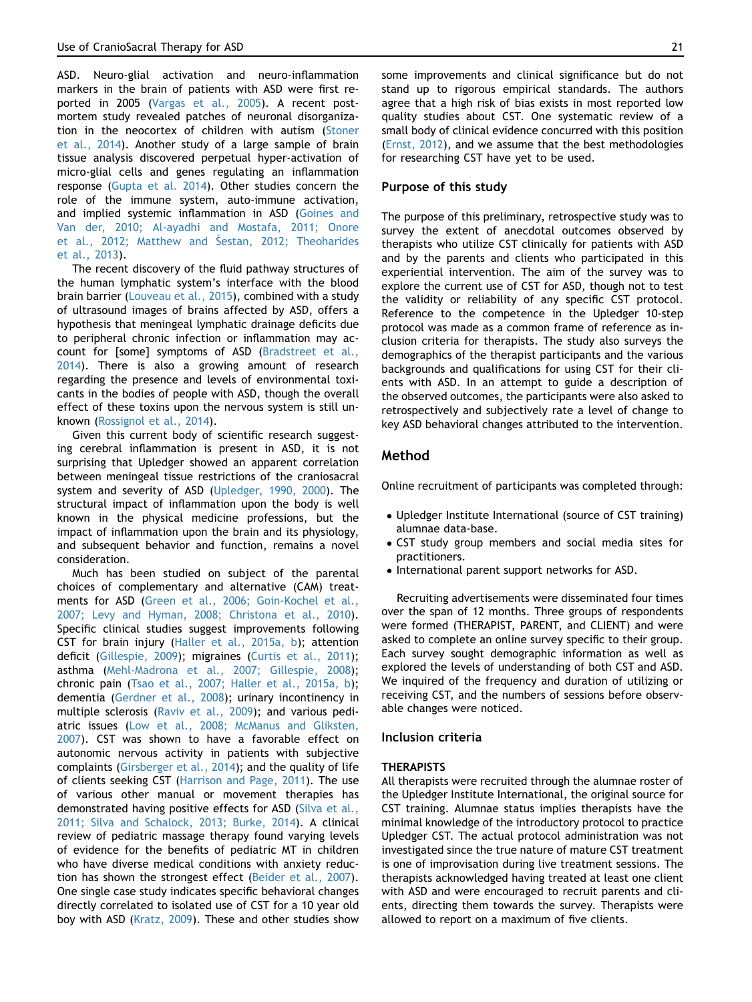ASD. Neuro-glial activation and neuro-inflammation markers in the brain of patients with ASD were first reported in 2005 ([Vargas et al., 2005\)](#page-10-0). A recent postmortem study revealed patches of neuronal disorganization in the neocortex of children with autism [\(Stoner](#page-9-0) [et al., 2014\)](#page-9-0). Another study of a large sample of brain tissue analysis discovered perpetual hyper-activation of micro-glial cells and genes regulating an inflammation response [\(Gupta et al. 2014\)](#page-9-0). Other studies concern the role of the immune system, auto-immune activation, and implied systemic inflammation in ASD [\(Goines and](#page-9-0) [Van der, 2010; Al-ayadhi and Mostafa, 2011; Onore](#page-9-0) [et al., 2012; Matthew and](#page-9-0) Šestan, 2012; Theoharides [et al., 2013\)](#page-9-0).

The recent discovery of the fluid pathway structures of the human lymphatic system's interface with the blood brain barrier [\(Louveau et al., 2015](#page-9-0)), combined with a study of ultrasound images of brains affected by ASD, offers a hypothesis that meningeal lymphatic drainage deficits due to peripheral chronic infection or inflammation may account for [some] symptoms of ASD [\(Bradstreet et al.,](#page-8-0) [2014](#page-8-0)). There is also a growing amount of research regarding the presence and levels of environmental toxicants in the bodies of people with ASD, though the overall effect of these toxins upon the nervous system is still unknown ([Rossignol et al., 2014\)](#page-9-0).

Given this current body of scientific research suggesting cerebral inflammation is present in ASD, it is not surprising that Upledger showed an apparent correlation between meningeal tissue restrictions of the craniosacral system and severity of ASD [\(Upledger, 1990, 2000](#page-10-0)). The structural impact of inflammation upon the body is well known in the physical medicine professions, but the impact of inflammation upon the brain and its physiology, and subsequent behavior and function, remains a novel consideration.

Much has been studied on subject of the parental choices of complementary and alternative (CAM) treatments for ASD ([Green et al., 2006; Goin-Kochel et al.,](#page-9-0) [2007; Levy and Hyman, 2008; Christona et al., 2010\)](#page-9-0). Specific clinical studies suggest improvements following CST for brain injury [\(Haller et al., 2015a, b\)](#page-9-0); attention deficit [\(Gillespie, 2009\)](#page-8-0); migraines ([Curtis et al., 2011\)](#page-8-0); asthma ([Mehl-Madrona et al., 2007; Gillespie, 2008\)](#page-9-0); chronic pain ([Tsao et al., 2007; Haller et al., 2015a, b\)](#page-10-0); dementia [\(Gerdner et al., 2008\)](#page-8-0); urinary incontinency in multiple sclerosis ([Raviv et al., 2009\)](#page-9-0); and various pediatric issues [\(Low et al., 2008; McManus and Gliksten,](#page-9-0) [2007](#page-9-0)). CST was shown to have a favorable effect on autonomic nervous activity in patients with subjective complaints [\(Girsberger et al., 2014\)](#page-8-0); and the quality of life of clients seeking CST ([Harrison and Page, 2011](#page-9-0)). The use of various other manual or movement therapies has demonstrated having positive effects for ASD ([Silva et al.,](#page-9-0) [2011; Silva and Schalock, 2013; Burke, 2014](#page-9-0)). A clinical review of pediatric massage therapy found varying levels of evidence for the benefits of pediatric MT in children who have diverse medical conditions with anxiety reduction has shown the strongest effect ([Beider et al., 2007\)](#page-8-0). One single case study indicates specific behavioral changes directly correlated to isolated use of CST for a 10 year old boy with ASD ([Kratz, 2009](#page-9-0)). These and other studies show some improvements and clinical significance but do not stand up to rigorous empirical standards. The authors agree that a high risk of bias exists in most reported low quality studies about CST. One systematic review of a small body of clinical evidence concurred with this position ([Ernst, 2012](#page-8-0)), and we assume that the best methodologies for researching CST have yet to be used.

#### Purpose of this study

The purpose of this preliminary, retrospective study was to survey the extent of anecdotal outcomes observed by therapists who utilize CST clinically for patients with ASD and by the parents and clients who participated in this experiential intervention. The aim of the survey was to explore the current use of CST for ASD, though not to test the validity or reliability of any specific CST protocol. Reference to the competence in the Upledger 10-step protocol was made as a common frame of reference as inclusion criteria for therapists. The study also surveys the demographics of the therapist participants and the various backgrounds and qualifications for using CST for their clients with ASD. In an attempt to guide a description of the observed outcomes, the participants were also asked to retrospectively and subjectively rate a level of change to key ASD behavioral changes attributed to the intervention.

#### Method

Online recruitment of participants was completed through:

- Upledger Institute International (source of CST training) alumnae data-base.
- CST study group members and social media sites for practitioners.
- International parent support networks for ASD.

Recruiting advertisements were disseminated four times over the span of 12 months. Three groups of respondents were formed (THERAPIST, PARENT, and CLIENT) and were asked to complete an online survey specific to their group. Each survey sought demographic information as well as explored the levels of understanding of both CST and ASD. We inquired of the frequency and duration of utilizing or receiving CST, and the numbers of sessions before observable changes were noticed.

#### Inclusion criteria

#### **THERAPISTS**

All therapists were recruited through the alumnae roster of the Upledger Institute International, the original source for CST training. Alumnae status implies therapists have the minimal knowledge of the introductory protocol to practice Upledger CST. The actual protocol administration was not investigated since the true nature of mature CST treatment is one of improvisation during live treatment sessions. The therapists acknowledged having treated at least one client with ASD and were encouraged to recruit parents and clients, directing them towards the survey. Therapists were allowed to report on a maximum of five clients.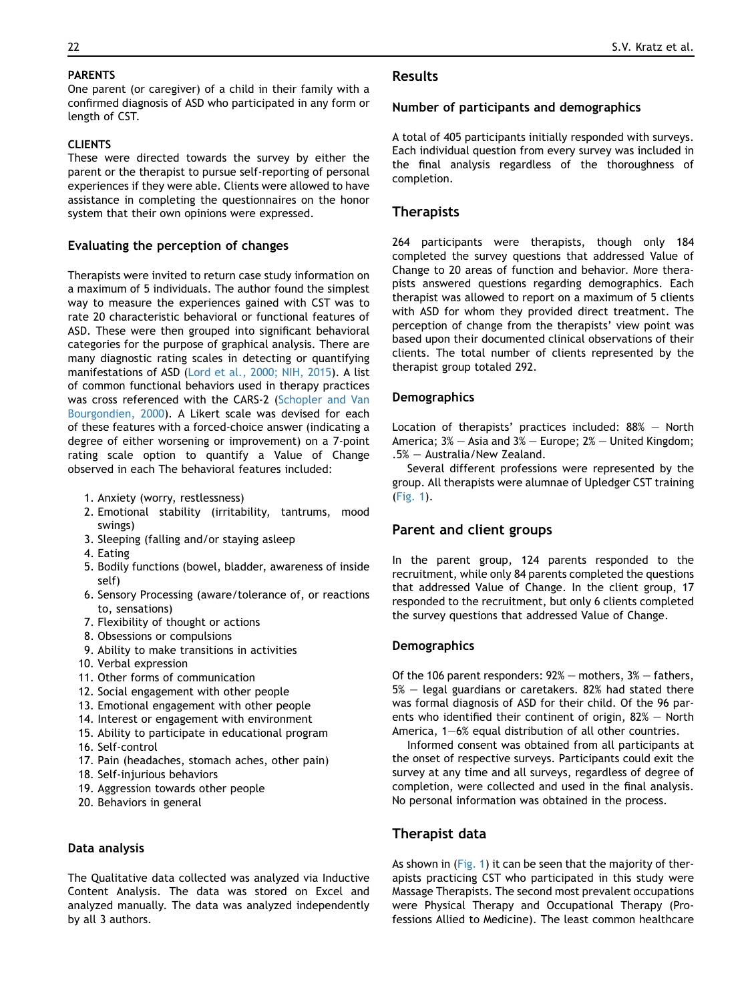#### PARENTS

One parent (or caregiver) of a child in their family with a confirmed diagnosis of ASD who participated in any form or length of CST.

# **CLIENTS**

These were directed towards the survey by either the parent or the therapist to pursue self-reporting of personal experiences if they were able. Clients were allowed to have assistance in completing the questionnaires on the honor system that their own opinions were expressed.

# Evaluating the perception of changes

Therapists were invited to return case study information on a maximum of 5 individuals. The author found the simplest way to measure the experiences gained with CST was to rate 20 characteristic behavioral or functional features of ASD. These were then grouped into significant behavioral categories for the purpose of graphical analysis. There are many diagnostic rating scales in detecting or quantifying manifestations of ASD [\(Lord et al., 2000; NIH, 2015\)](#page-9-0). A list of common functional behaviors used in therapy practices was cross referenced with the CARS-2 ([Schopler and Van](#page-9-0) [Bourgondien, 2000](#page-9-0)). A Likert scale was devised for each of these features with a forced-choice answer (indicating a degree of either worsening or improvement) on a 7-point rating scale option to quantify a Value of Change observed in each The behavioral features included:

- 1. Anxiety (worry, restlessness)
- 2. Emotional stability (irritability, tantrums, mood swings)
- 3. Sleeping (falling and/or staying asleep
- 4. Eating
- 5. Bodily functions (bowel, bladder, awareness of inside self)
- 6. Sensory Processing (aware/tolerance of, or reactions to, sensations)
- 7. Flexibility of thought or actions
- 8. Obsessions or compulsions
- 9. Ability to make transitions in activities
- 10. Verbal expression
- 11. Other forms of communication
- 12. Social engagement with other people
- 13. Emotional engagement with other people
- 14. Interest or engagement with environment
- 15. Ability to participate in educational program
- 16. Self-control
- 17. Pain (headaches, stomach aches, other pain)
- 18. Self-injurious behaviors
- 19. Aggression towards other people
- 20. Behaviors in general

# Data analysis

The Qualitative data collected was analyzed via Inductive Content Analysis. The data was stored on Excel and analyzed manually. The data was analyzed independently by all 3 authors.

# Results

#### Number of participants and demographics

A total of 405 participants initially responded with surveys. Each individual question from every survey was included in the final analysis regardless of the thoroughness of completion.

# Therapists

264 participants were therapists, though only 184 completed the survey questions that addressed Value of Change to 20 areas of function and behavior. More therapists answered questions regarding demographics. Each therapist was allowed to report on a maximum of 5 clients with ASD for whom they provided direct treatment. The perception of change from the therapists' view point was based upon their documented clinical observations of their clients. The total number of clients represented by the therapist group totaled 292.

# **Demographics**

Location of therapists' practices included:  $88\%$  - North America;  $3\%$  – Asia and  $3\%$  – Europe;  $2\%$  – United Kingdom;  $.5% -$  Australia/New Zealand.

Several different professions were represented by the group. All therapists were alumnae of Upledger CST training [\(Fig. 1\)](#page-4-0).

# Parent and client groups

In the parent group, 124 parents responded to the recruitment, while only 84 parents completed the questions that addressed Value of Change. In the client group, 17 responded to the recruitment, but only 6 clients completed the survey questions that addressed Value of Change.

# **Demographics**

Of the 106 parent responders:  $92%$  – mothers,  $3%$  – fathers,  $5%$  – legal guardians or caretakers. 82% had stated there was formal diagnosis of ASD for their child. Of the 96 parents who identified their continent of origin,  $82\%$  – North America,  $1-6%$  equal distribution of all other countries.

Informed consent was obtained from all participants at the onset of respective surveys. Participants could exit the survey at any time and all surveys, regardless of degree of completion, were collected and used in the final analysis. No personal information was obtained in the process.

# Therapist data

As shown in [\(Fig. 1](#page-4-0)) it can be seen that the majority of therapists practicing CST who participated in this study were Massage Therapists. The second most prevalent occupations were Physical Therapy and Occupational Therapy (Professions Allied to Medicine). The least common healthcare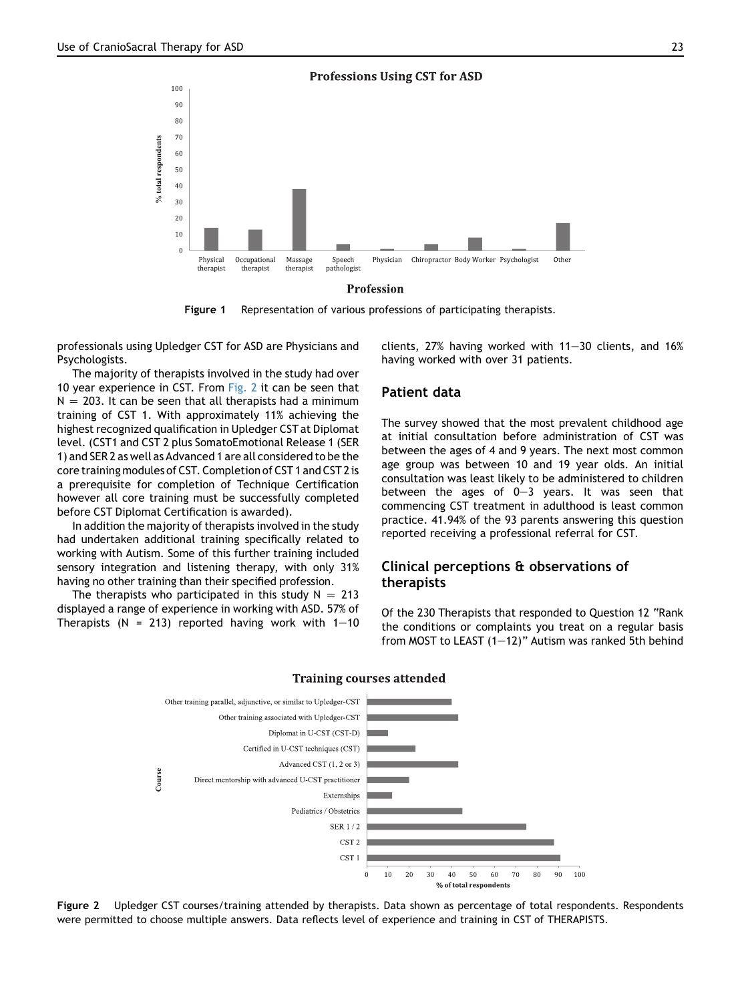<span id="page-4-0"></span>

Figure 1 Representation of various professions of participating therapists.

professionals using Upledger CST for ASD are Physicians and Psychologists.

The majority of therapists involved in the study had over 10 year experience in CST. From Fig. 2 it can be seen that  $N = 203$ . It can be seen that all therapists had a minimum training of CST 1. With approximately 11% achieving the highest recognized qualification in Upledger CST at Diplomat level. (CST1 and CST 2 plus SomatoEmotional Release 1 (SER 1) and SER 2 as well as Advanced 1 are all considered to be the core training modules of CST. Completion of CST 1 and CST 2 is a prerequisite for completion of Technique Certification however all core training must be successfully completed before CST Diplomat Certification is awarded).

In addition the majority of therapists involved in the study had undertaken additional training specifically related to working with Autism. Some of this further training included sensory integration and listening therapy, with only 31% having no other training than their specified profession.

The therapists who participated in this study  $N = 213$ displayed a range of experience in working with ASD. 57% of Therapists (N = 213) reported having work with  $1-10$  clients,  $27%$  having worked with  $11-30$  clients, and  $16%$ having worked with over 31 patients.

# Patient data

The survey showed that the most prevalent childhood age at initial consultation before administration of CST was between the ages of 4 and 9 years. The next most common age group was between 10 and 19 year olds. An initial consultation was least likely to be administered to children between the ages of  $0-3$  years. It was seen that commencing CST treatment in adulthood is least common practice. 41.94% of the 93 parents answering this question reported receiving a professional referral for CST.

# Clinical perceptions & observations of therapists

Of the 230 Therapists that responded to Question 12 "Rank the conditions or complaints you treat on a regular basis from MOST to LEAST  $(1-12)$ " Autism was ranked 5th behind



#### **Training courses attended**

Figure 2 Upledger CST courses/training attended by therapists. Data shown as percentage of total respondents. Respondents were permitted to choose multiple answers. Data reflects level of experience and training in CST of THERAPISTS.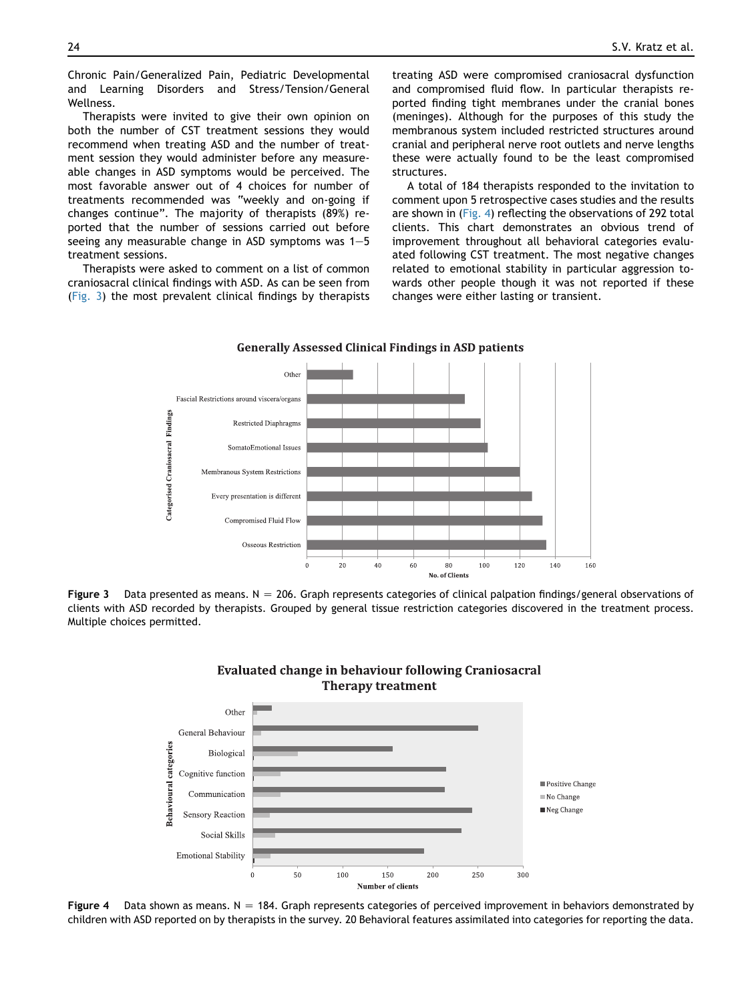<span id="page-5-0"></span>Chronic Pain/Generalized Pain, Pediatric Developmental and Learning Disorders and Stress/Tension/General Wellness.

Therapists were invited to give their own opinion on both the number of CST treatment sessions they would recommend when treating ASD and the number of treatment session they would administer before any measureable changes in ASD symptoms would be perceived. The most favorable answer out of 4 choices for number of treatments recommended was "weekly and on-going if changes continue". The majority of therapists (89%) reported that the number of sessions carried out before seeing any measurable change in ASD symptoms was  $1-5$ treatment sessions.

Therapists were asked to comment on a list of common craniosacral clinical findings with ASD. As can be seen from (Fig. 3) the most prevalent clinical findings by therapists treating ASD were compromised craniosacral dysfunction and compromised fluid flow. In particular therapists reported finding tight membranes under the cranial bones (meninges). Although for the purposes of this study the membranous system included restricted structures around cranial and peripheral nerve root outlets and nerve lengths these were actually found to be the least compromised structures.

A total of 184 therapists responded to the invitation to comment upon 5 retrospective cases studies and the results are shown in (Fig. 4) reflecting the observations of 292 total clients. This chart demonstrates an obvious trend of improvement throughout all behavioral categories evaluated following CST treatment. The most negative changes related to emotional stability in particular aggression towards other people though it was not reported if these changes were either lasting or transient.



Figure 3 Data presented as means.  $N = 206$ . Graph represents categories of clinical palpation findings/general observations of clients with ASD recorded by therapists. Grouped by general tissue restriction categories discovered in the treatment process. Multiple choices permitted.



Evaluated change in behaviour following Craniosacral **Therapy treatment** 

Figure 4 Data shown as means.  $N = 184$ . Graph represents categories of perceived improvement in behaviors demonstrated by children with ASD reported on by therapists in the survey. 20 Behavioral features assimilated into categories for reporting the data.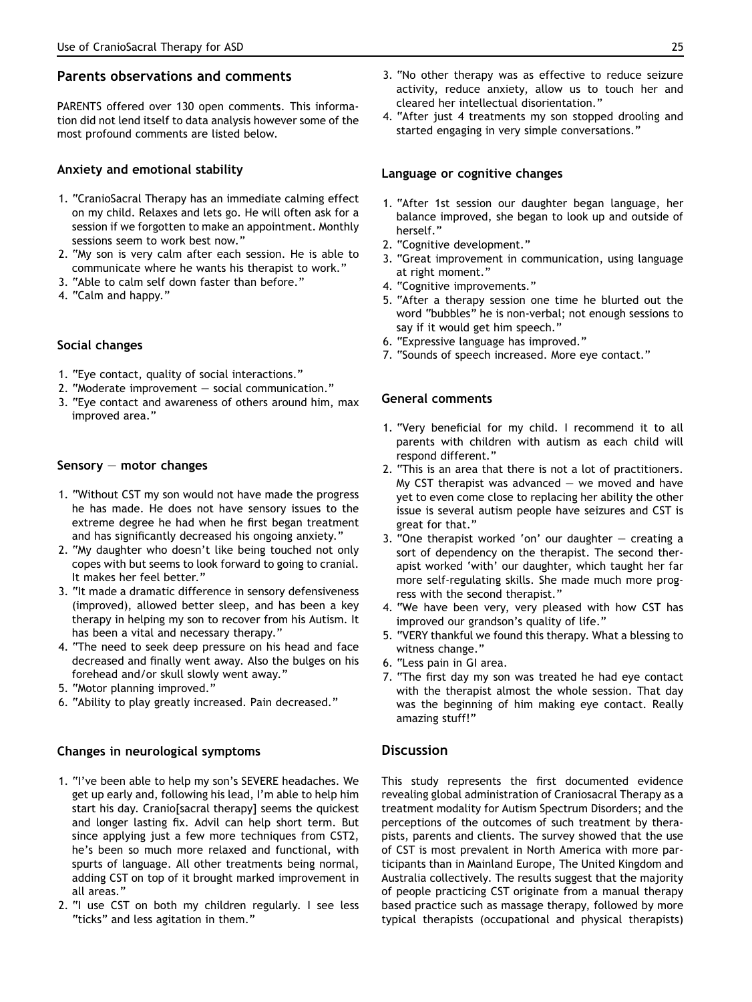# Parents observations and comments

PARENTS offered over 130 open comments. This information did not lend itself to data analysis however some of the most profound comments are listed below.

#### Anxiety and emotional stability

- 1. "CranioSacral Therapy has an immediate calming effect on my child. Relaxes and lets go. He will often ask for a session if we forgotten to make an appointment. Monthly sessions seem to work best now."
- 2. "My son is very calm after each session. He is able to communicate where he wants his therapist to work."
- 3. "Able to calm self down faster than before."
- 4. "Calm and happy."

# Social changes

- 1. "Eye contact, quality of social interactions."
- 2. "Moderate improvement  $-$  social communication."
- 3. "Eye contact and awareness of others around him, max improved area."

#### Sensory  $-$  motor changes

- 1. "Without CST my son would not have made the progress he has made. He does not have sensory issues to the extreme degree he had when he first began treatment and has significantly decreased his ongoing anxiety."
- 2. "My daughter who doesn't like being touched not only copes with but seems to look forward to going to cranial. It makes her feel better."
- 3. "It made a dramatic difference in sensory defensiveness (improved), allowed better sleep, and has been a key therapy in helping my son to recover from his Autism. It has been a vital and necessary therapy."
- 4. "The need to seek deep pressure on his head and face decreased and finally went away. Also the bulges on his forehead and/or skull slowly went away."
- 5. "Motor planning improved."
- 6. "Ability to play greatly increased. Pain decreased."

#### Changes in neurological symptoms

- 1. "I've been able to help my son's SEVERE headaches. We get up early and, following his lead, I'm able to help him start his day. Cranio[sacral therapy] seems the quickest and longer lasting fix. Advil can help short term. But since applying just a few more techniques from CST2, he's been so much more relaxed and functional, with spurts of language. All other treatments being normal, adding CST on top of it brought marked improvement in all areas."
- 2. "I use CST on both my children regularly. I see less "ticks" and less agitation in them."
- 3. "No other therapy was as effective to reduce seizure activity, reduce anxiety, allow us to touch her and cleared her intellectual disorientation."
- 4. "After just 4 treatments my son stopped drooling and started engaging in very simple conversations."

#### Language or cognitive changes

- 1. "After 1st session our daughter began language, her balance improved, she began to look up and outside of herself."
- 2. "Cognitive development."
- 3. "Great improvement in communication, using language at right moment."
- 4. "Cognitive improvements."
- 5. "After a therapy session one time he blurted out the word "bubbles" he is non-verbal; not enough sessions to say if it would get him speech."
- 6. "Expressive language has improved."
- 7. "Sounds of speech increased. More eye contact."

#### General comments

- 1. "Very beneficial for my child. I recommend it to all parents with children with autism as each child will respond different."
- 2. "This is an area that there is not a lot of practitioners. My CST therapist was advanced  $-$  we moved and have yet to even come close to replacing her ability the other issue is several autism people have seizures and CST is great for that."
- 3. "One therapist worked 'on' our daughter  $-$  creating a sort of dependency on the therapist. The second therapist worked 'with' our daughter, which taught her far more self-regulating skills. She made much more progress with the second therapist."
- 4. "We have been very, very pleased with how CST has improved our grandson's quality of life."
- 5. "VERY thankful we found this therapy. What a blessing to witness change."
- 6. "Less pain in GI area.
- 7. "The first day my son was treated he had eye contact with the therapist almost the whole session. That day was the beginning of him making eye contact. Really amazing stuff!"

# **Discussion**

This study represents the first documented evidence revealing global administration of Craniosacral Therapy as a treatment modality for Autism Spectrum Disorders; and the perceptions of the outcomes of such treatment by therapists, parents and clients. The survey showed that the use of CST is most prevalent in North America with more participants than in Mainland Europe, The United Kingdom and Australia collectively. The results suggest that the majority of people practicing CST originate from a manual therapy based practice such as massage therapy, followed by more typical therapists (occupational and physical therapists)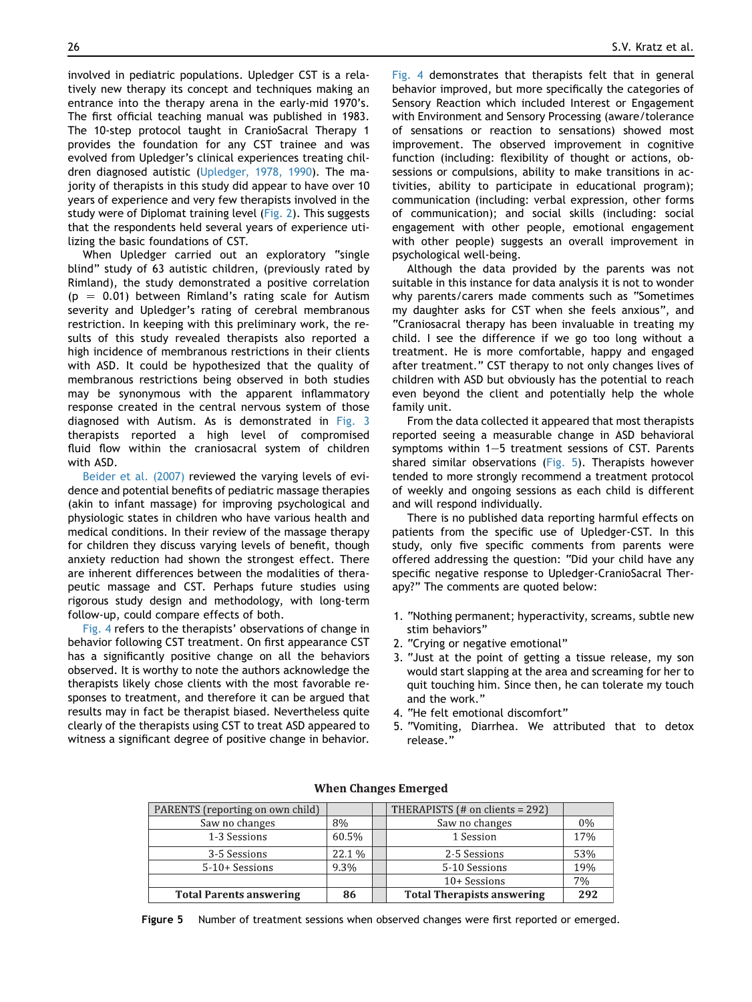involved in pediatric populations. Upledger CST is a relatively new therapy its concept and techniques making an entrance into the therapy arena in the early-mid 1970's. The first official teaching manual was published in 1983. The 10-step protocol taught in CranioSacral Therapy 1 provides the foundation for any CST trainee and was evolved from Upledger's clinical experiences treating children diagnosed autistic ([Upledger, 1978, 1990](#page-10-0)). The majority of therapists in this study did appear to have over 10 years of experience and very few therapists involved in the study were of Diplomat training level [\(Fig. 2\)](#page-4-0). This suggests that the respondents held several years of experience utilizing the basic foundations of CST.

When Upledger carried out an exploratory "single blind" study of 63 autistic children, (previously rated by Rimland), the study demonstrated a positive correlation  $(p = 0.01)$  between Rimland's rating scale for Autism severity and Upledger's rating of cerebral membranous restriction. In keeping with this preliminary work, the results of this study revealed therapists also reported a high incidence of membranous restrictions in their clients with ASD. It could be hypothesized that the quality of membranous restrictions being observed in both studies may be synonymous with the apparent inflammatory response created in the central nervous system of those diagnosed with Autism. As is demonstrated in [Fig. 3](#page-5-0) therapists reported a high level of compromised fluid flow within the craniosacral system of children with ASD.

[Beider et al. \(2007\)](#page-8-0) reviewed the varying levels of evidence and potential benefits of pediatric massage therapies (akin to infant massage) for improving psychological and physiologic states in children who have various health and medical conditions. In their review of the massage therapy for children they discuss varying levels of benefit, though anxiety reduction had shown the strongest effect. There are inherent differences between the modalities of therapeutic massage and CST. Perhaps future studies using rigorous study design and methodology, with long-term follow-up, could compare effects of both.

[Fig. 4](#page-5-0) refers to the therapists' observations of change in behavior following CST treatment. On first appearance CST has a significantly positive change on all the behaviors observed. It is worthy to note the authors acknowledge the therapists likely chose clients with the most favorable responses to treatment, and therefore it can be argued that results may in fact be therapist biased. Nevertheless quite clearly of the therapists using CST to treat ASD appeared to witness a significant degree of positive change in behavior.

[Fig. 4](#page-5-0) demonstrates that therapists felt that in general behavior improved, but more specifically the categories of Sensory Reaction which included Interest or Engagement with Environment and Sensory Processing (aware/tolerance of sensations or reaction to sensations) showed most improvement. The observed improvement in cognitive function (including: flexibility of thought or actions, obsessions or compulsions, ability to make transitions in activities, ability to participate in educational program); communication (including: verbal expression, other forms of communication); and social skills (including: social engagement with other people, emotional engagement with other people) suggests an overall improvement in psychological well-being.

Although the data provided by the parents was not suitable in this instance for data analysis it is not to wonder why parents/carers made comments such as "Sometimes my daughter asks for CST when she feels anxious", and "Craniosacral therapy has been invaluable in treating my child. I see the difference if we go too long without a treatment. He is more comfortable, happy and engaged after treatment." CST therapy to not only changes lives of children with ASD but obviously has the potential to reach even beyond the client and potentially help the whole family unit.

From the data collected it appeared that most therapists reported seeing a measurable change in ASD behavioral symptoms within  $1-5$  treatment sessions of CST. Parents shared similar observations (Fig. 5). Therapists however tended to more strongly recommend a treatment protocol of weekly and ongoing sessions as each child is different and will respond individually.

There is no published data reporting harmful effects on patients from the specific use of Upledger-CST. In this study, only five specific comments from parents were offered addressing the question: "Did your child have any specific negative response to Upledger-CranioSacral Therapy?" The comments are quoted below:

- 1. "Nothing permanent; hyperactivity, screams, subtle new stim behaviors"
- 2. "Crying or negative emotional"
- 3. "Just at the point of getting a tissue release, my son would start slapping at the area and screaming for her to quit touching him. Since then, he can tolerate my touch and the work."
- 4. "He felt emotional discomfort"
- 5. "Vomiting, Diarrhea. We attributed that to detox release."

| PARENTS (reporting on own child) |         | THERAPISTS (# on clients = 292)   |     |
|----------------------------------|---------|-----------------------------------|-----|
| Saw no changes                   | 8%      | Saw no changes                    | 0%  |
| 1-3 Sessions                     | 60.5%   | 1 Session                         | 17% |
| 3-5 Sessions                     | 22.1 %  | 2-5 Sessions                      | 53% |
| 5-10+ Sessions                   | $9.3\%$ | 5-10 Sessions                     | 19% |
|                                  |         | $10+$ Sessions                    | 7%  |
| <b>Total Parents answering</b>   | 86      | <b>Total Therapists answering</b> | 292 |

**When Changes Emerged** 

Figure 5 Number of treatment sessions when observed changes were first reported or emerged.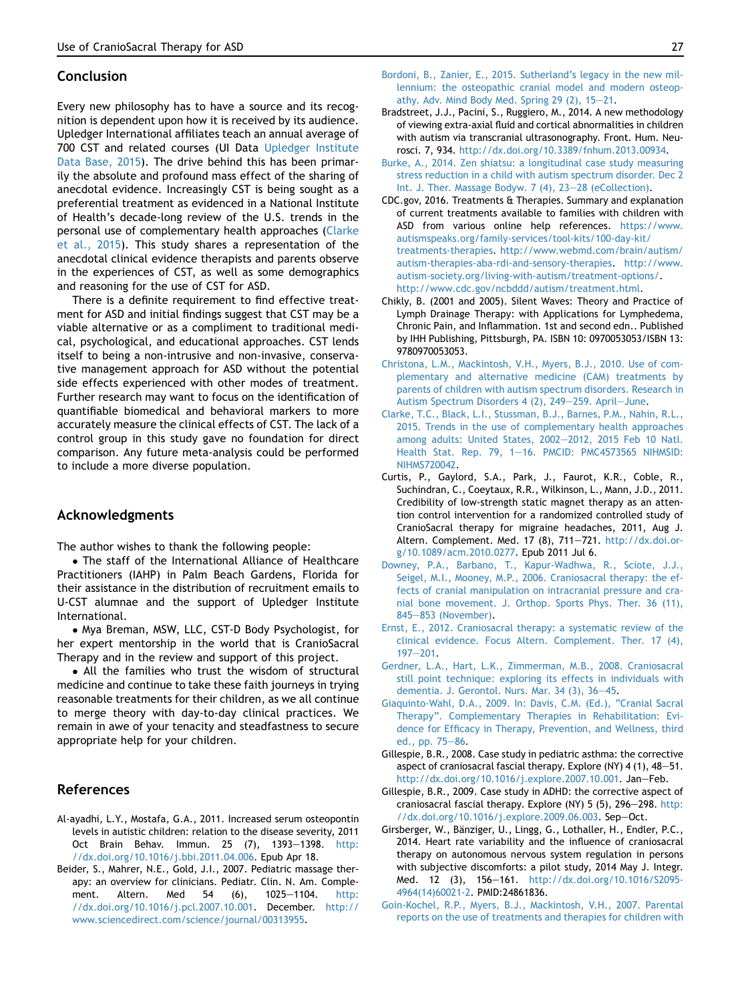# <span id="page-8-0"></span>Conclusion

Every new philosophy has to have a source and its recognition is dependent upon how it is received by its audience. Upledger International affiliates teach an annual average of 700 CST and related courses (UI Data [Upledger Institute](#page-10-0) [Data Base, 2015\)](#page-10-0). The drive behind this has been primarily the absolute and profound mass effect of the sharing of anecdotal evidence. Increasingly CST is being sought as a preferential treatment as evidenced in a National Institute of Health's decade-long review of the U.S. trends in the personal use of complementary health approaches (Clarke et al., 2015). This study shares a representation of the anecdotal clinical evidence therapists and parents observe in the experiences of CST, as well as some demographics and reasoning for the use of CST for ASD.

There is a definite requirement to find effective treatment for ASD and initial findings suggest that CST may be a viable alternative or as a compliment to traditional medical, psychological, and educational approaches. CST lends itself to being a non-intrusive and non-invasive, conservative management approach for ASD without the potential side effects experienced with other modes of treatment. Further research may want to focus on the identification of quantifiable biomedical and behavioral markers to more accurately measure the clinical effects of CST. The lack of a control group in this study gave no foundation for direct comparison. Any future meta-analysis could be performed to include a more diverse population.

#### Acknowledgments

The author wishes to thank the following people:

• The staff of the International Alliance of Healthcare Practitioners (IAHP) in Palm Beach Gardens, Florida for their assistance in the distribution of recruitment emails to U-CST alumnae and the support of Upledger Institute International.

- Mya Breman, MSW, LLC, CST-D Body Psychologist, for her expert mentorship in the world that is CranioSacral Therapy and in the review and support of this project.

• All the families who trust the wisdom of structural medicine and continue to take these faith journeys in trying reasonable treatments for their children, as we all continue to merge theory with day-to-day clinical practices. We remain in awe of your tenacity and steadfastness to secure appropriate help for your children.

# References

- Al-ayadhi, L.Y., Mostafa, G.A., 2011. Increased serum osteopontin levels in autistic children: relation to the disease severity, 2011 Oct Brain Behav. Immun. 25 (7), 1393-1398. [http:](http://dx.doi.org/10.1016/j.bbi.2011.04.006) [//dx.doi.org/10.1016/j.bbi.2011.04.006](http://dx.doi.org/10.1016/j.bbi.2011.04.006). Epub Apr 18.
- Beider, S., Mahrer, N.E., Gold, J.I., 2007. Pediatric massage therapy: an overview for clinicians. Pediatr. Clin. N. Am. Complement. Altern. Med 54 (6), 1025-1104. [http:](http://dx.doi.org/10.1016/j.pcl.2007.10.001) [//dx.doi.org/10.1016/j.pcl.2007.10.001.](http://dx.doi.org/10.1016/j.pcl.2007.10.001) December. [http://](http://www.sciencedirect.com/science/journal/00313955) [www.sciencedirect.com/science/journal/00313955](http://www.sciencedirect.com/science/journal/00313955).
- [Bordoni, B., Zanier, E., 2015. Sutherland's legacy in the new mil](http://refhub.elsevier.com/S1360-8592(16)30098-5/sref3)[lennium: the osteopathic cranial model and modern osteop](http://refhub.elsevier.com/S1360-8592(16)30098-5/sref3)athy. Adv. Mind Body Med. Spring  $29$  (2),  $15-21$  $15-21$ .
- Bradstreet, J.J., Pacini, S., Ruggiero, M., 2014. A new methodology of viewing extra-axial fluid and cortical abnormalities in children with autism via transcranial ultrasonography. Front. Hum. Neurosci. 7, 934. <http://dx.doi.org/10.3389/fnhum.2013.00934>.
- [Burke, A., 2014. Zen shiatsu: a longitudinal case study measuring](http://refhub.elsevier.com/S1360-8592(16)30098-5/sref5) [stress reduction in a child with autism spectrum disorder. Dec 2](http://refhub.elsevier.com/S1360-8592(16)30098-5/sref5) [Int. J. Ther. Massage Bodyw. 7 \(4\), 23](http://refhub.elsevier.com/S1360-8592(16)30098-5/sref5)-[28 \(eCollection\)](http://refhub.elsevier.com/S1360-8592(16)30098-5/sref5).
- CDC.gov, 2016. Treatments & Therapies. Summary and explanation of current treatments available to families with children with ASD from various online help references. [https://www.](https://www.autismspeaks.org/family-services/tool-kits/100-day-kit/treatments-therapies) [autismspeaks.org/family-services/tool-kits/100-day-kit/](https://www.autismspeaks.org/family-services/tool-kits/100-day-kit/treatments-therapies) [treatments-therapies.](https://www.autismspeaks.org/family-services/tool-kits/100-day-kit/treatments-therapies) [http://www.webmd.com/brain/autism/](http://www.webmd.com/brain/autism/autism-therapies-aba-rdi-and-sensory-therapies) [autism-therapies-aba-rdi-and-sensory-therapies.](http://www.webmd.com/brain/autism/autism-therapies-aba-rdi-and-sensory-therapies) [http://www.](http://www.autism-society.org/living-with-autism/treatment-options/) [autism-society.org/living-with-autism/treatment-options/](http://www.autism-society.org/living-with-autism/treatment-options/). <http://www.cdc.gov/ncbddd/autism/treatment.html>.
- Chikly, B. (2001 and 2005). Silent Waves: Theory and Practice of Lymph Drainage Therapy: with Applications for Lymphedema, Chronic Pain, and Inflammation. 1st and second edn.. Published by IHH Publishing, Pittsburgh, PA. ISBN 10: 0970053053/ISBN 13: 9780970053053.
- [Christona, L.M., Mackintosh, V.H., Myers, B.J., 2010. Use of com](http://refhub.elsevier.com/S1360-8592(16)30098-5/sref8)[plementary and alternative medicine \(CAM\) treatments by](http://refhub.elsevier.com/S1360-8592(16)30098-5/sref8) [parents of children with autism spectrum disorders. Research in](http://refhub.elsevier.com/S1360-8592(16)30098-5/sref8) [Autism Spectrum Disorders 4 \(2\), 249](http://refhub.elsevier.com/S1360-8592(16)30098-5/sref8)-[259. April](http://refhub.elsevier.com/S1360-8592(16)30098-5/sref8)-[June.](http://refhub.elsevier.com/S1360-8592(16)30098-5/sref8)
- [Clarke, T.C., Black, L.I., Stussman, B.J., Barnes, P.M., Nahin, R.L.,](http://refhub.elsevier.com/S1360-8592(16)30098-5/sref9) [2015. Trends in the use of complementary health approaches](http://refhub.elsevier.com/S1360-8592(16)30098-5/sref9) [among adults: United States, 2002](http://refhub.elsevier.com/S1360-8592(16)30098-5/sref9)-[2012, 2015 Feb 10 Natl.](http://refhub.elsevier.com/S1360-8592(16)30098-5/sref9) [Health Stat. Rep. 79, 1](http://refhub.elsevier.com/S1360-8592(16)30098-5/sref9)-[16. PMCID: PMC4573565 NIHMSID:](http://refhub.elsevier.com/S1360-8592(16)30098-5/sref9) [NIHMS720042](http://refhub.elsevier.com/S1360-8592(16)30098-5/sref9).
- Curtis, P., Gaylord, S.A., Park, J., Faurot, K.R., Coble, R., Suchindran, C., Coeytaux, R.R., Wilkinson, L., Mann, J.D., 2011. Credibility of low-strength static magnet therapy as an attention control intervention for a randomized controlled study of CranioSacral therapy for migraine headaches, 2011, Aug J. Altern. Complement. Med. 17 (8), 711-721. [http://dx.doi.or](http://dx.doi.org/10.1089/acm.2010.0277)[g/10.1089/acm.2010.0277](http://dx.doi.org/10.1089/acm.2010.0277). Epub 2011 Jul 6.
- [Downey, P.A., Barbano, T., Kapur-Wadhwa, R., Sciote, J.J.,](http://refhub.elsevier.com/S1360-8592(16)30098-5/sref11) [Seigel, M.I., Mooney, M.P., 2006. Craniosacral therapy: the ef](http://refhub.elsevier.com/S1360-8592(16)30098-5/sref11)[fects of cranial manipulation on intracranial pressure and cra](http://refhub.elsevier.com/S1360-8592(16)30098-5/sref11)[nial bone movement. J. Orthop. Sports Phys. Ther. 36 \(11\),](http://refhub.elsevier.com/S1360-8592(16)30098-5/sref11) [845](http://refhub.elsevier.com/S1360-8592(16)30098-5/sref11)-[853 \(November\).](http://refhub.elsevier.com/S1360-8592(16)30098-5/sref11)
- [Ernst, E., 2012. Craniosacral therapy: a systematic review of the](http://refhub.elsevier.com/S1360-8592(16)30098-5/sref63) [clinical evidence. Focus Altern. Complement. Ther. 17 \(4\),](http://refhub.elsevier.com/S1360-8592(16)30098-5/sref63)  $197 - 201.$  $197 - 201.$  $197 - 201.$  $197 - 201.$
- [Gerdner, L.A., Hart, L.K., Zimmerman, M.B., 2008. Craniosacral](http://refhub.elsevier.com/S1360-8592(16)30098-5/sref12) [still point technique: exploring its effects in individuals with](http://refhub.elsevier.com/S1360-8592(16)30098-5/sref12) [dementia. J. Gerontol. Nurs. Mar. 34 \(3\), 36](http://refhub.elsevier.com/S1360-8592(16)30098-5/sref12)-[45](http://refhub.elsevier.com/S1360-8592(16)30098-5/sref12).
- [Giaquinto-Wahl, D.A., 2009. In: Davis, C.M. \(Ed.\), "Cranial Sacral](http://refhub.elsevier.com/S1360-8592(16)30098-5/sref13) [Therapy". Complementary Therapies in Rehabilitation: Evi](http://refhub.elsevier.com/S1360-8592(16)30098-5/sref13)[dence for Efficacy in Therapy, Prevention, and Wellness, third](http://refhub.elsevier.com/S1360-8592(16)30098-5/sref13) [ed., pp. 75](http://refhub.elsevier.com/S1360-8592(16)30098-5/sref13)-[86.](http://refhub.elsevier.com/S1360-8592(16)30098-5/sref13)
- Gillespie, B.R., 2008. Case study in pediatric asthma: the corrective aspect of craniosacral fascial therapy. Explore (NY) 4 (1),  $48-51$ . <http://dx.doi.org/10.1016/j.explore.2007.10.001>. Jan-Feb.
- Gillespie, B.R., 2009. Case study in ADHD: the corrective aspect of craniosacral fascial therapy. Explore (NY) 5 (5), 296-298. [http:](http://dx.doi.org/10.1016/j.explore.2009.06.003) [//dx.doi.org/10.1016/j.explore.2009.06.003.](http://dx.doi.org/10.1016/j.explore.2009.06.003) Sep-Oct.
- Girsberger, W., Bänziger, U., Lingg, G., Lothaller, H., Endler, P.C., 2014. Heart rate variability and the influence of craniosacral therapy on autonomous nervous system regulation in persons with subjective discomforts: a pilot study, 2014 May J. Integr. Med. 12 (3), 156-161. [http://dx.doi.org/10.1016/S2095-](http://dx.doi.org/10.1016/S2095-4964(14)60021-2) [4964\(14\)60021-2.](http://dx.doi.org/10.1016/S2095-4964(14)60021-2) PMID:24861836.
- [Goin-Kochel, R.P., Myers, B.J., Mackintosh, V.H., 2007. Parental](http://refhub.elsevier.com/S1360-8592(16)30098-5/sref17) [reports on the use of treatments and therapies for children with](http://refhub.elsevier.com/S1360-8592(16)30098-5/sref17)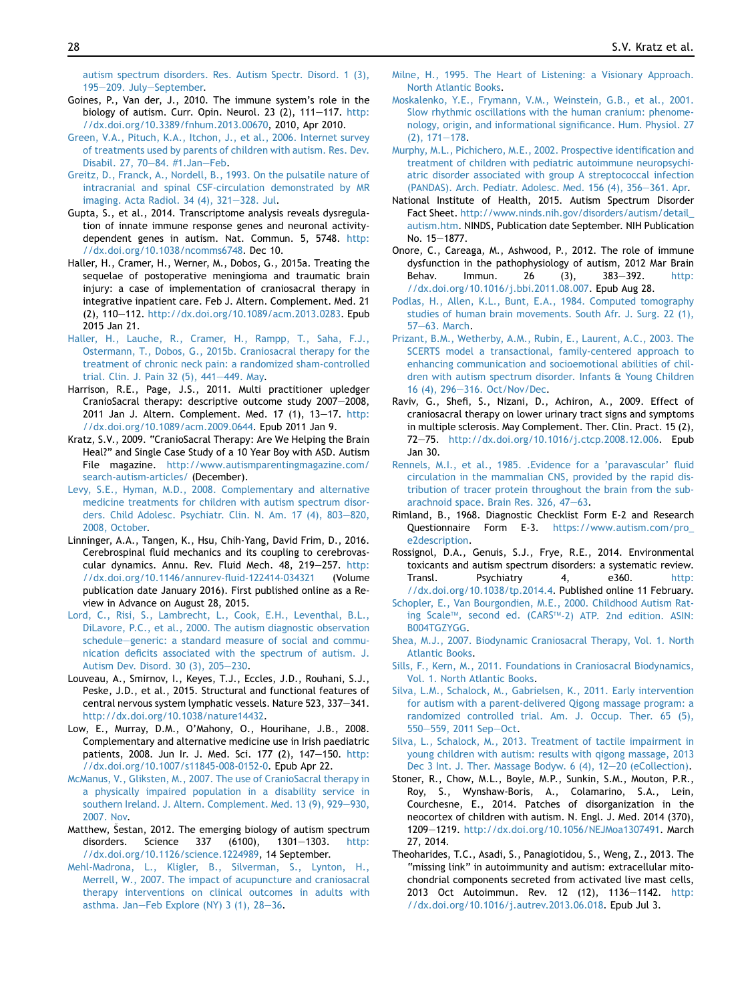<span id="page-9-0"></span>[autism spectrum disorders. Res. Autism Spectr. Disord. 1 \(3\),](http://refhub.elsevier.com/S1360-8592(16)30098-5/sref17) [195](http://refhub.elsevier.com/S1360-8592(16)30098-5/sref17)-[209. July](http://refhub.elsevier.com/S1360-8592(16)30098-5/sref17)-[September.](http://refhub.elsevier.com/S1360-8592(16)30098-5/sref17)

- Goines, P., Van der, J., 2010. The immune system's role in the biology of autism. Curr. Opin. Neurol. 23 (2), 111-117. [http:](http://dx.doi.org/10.3389/fnhum.2013.00670) [//dx.doi.org/10.3389/fnhum.2013.00670](http://dx.doi.org/10.3389/fnhum.2013.00670), 2010, Apr 2010.
- [Green, V.A., Pituch, K.A., Itchon, J., et al., 2006. Internet survey](http://refhub.elsevier.com/S1360-8592(16)30098-5/sref19) [of treatments used by parents of children with autism. Res. Dev.](http://refhub.elsevier.com/S1360-8592(16)30098-5/sref19) [Disabil. 27, 70](http://refhub.elsevier.com/S1360-8592(16)30098-5/sref19)-[84. #1.Jan](http://refhub.elsevier.com/S1360-8592(16)30098-5/sref19)-[Feb](http://refhub.elsevier.com/S1360-8592(16)30098-5/sref19).
- [Greitz, D., Franck, A., Nordell, B., 1993. On the pulsatile nature of](http://refhub.elsevier.com/S1360-8592(16)30098-5/sref20) [intracranial and spinal CSF-circulation demonstrated by MR](http://refhub.elsevier.com/S1360-8592(16)30098-5/sref20) imaging. Acta Radiol. 34  $(4)$ , 321-[328. Jul.](http://refhub.elsevier.com/S1360-8592(16)30098-5/sref20)
- Gupta, S., et al., 2014. Transcriptome analysis reveals dysregulation of innate immune response genes and neuronal activitydependent genes in autism. Nat. Commun. 5, 5748. [http:](http://dx.doi.org/10.1038/ncomms6748) [//dx.doi.org/10.1038/ncomms6748](http://dx.doi.org/10.1038/ncomms6748). Dec 10.
- Haller, H., Cramer, H., Werner, M., Dobos, G., 2015a. Treating the sequelae of postoperative meningioma and traumatic brain injury: a case of implementation of craniosacral therapy in integrative inpatient care. Feb J. Altern. Complement. Med. 21 (2), 110-112. [http://dx.doi.org/10.1089/acm.2013.0283.](http://dx.doi.org/10.1089/acm.2013.0283) Epub 2015 Jan 21.
- [Haller, H., Lauche, R., Cramer, H., Rampp, T., Saha, F.J.,](http://refhub.elsevier.com/S1360-8592(16)30098-5/sref23) [Ostermann, T., Dobos, G., 2015b. Craniosacral therapy for the](http://refhub.elsevier.com/S1360-8592(16)30098-5/sref23) [treatment of chronic neck pain: a randomized sham-controlled](http://refhub.elsevier.com/S1360-8592(16)30098-5/sref23) [trial. Clin. J. Pain 32 \(5\), 441](http://refhub.elsevier.com/S1360-8592(16)30098-5/sref23)-[449. May.](http://refhub.elsevier.com/S1360-8592(16)30098-5/sref23)
- Harrison, R.E., Page, J.S., 2011. Multi practitioner upledger CranioSacral therapy: descriptive outcome study 2007-2008, 2011 Jan J. Altern. Complement. Med. 17 (1), 13-17. [http:](http://dx.doi.org/10.1089/acm.2009.0644) [//dx.doi.org/10.1089/acm.2009.0644](http://dx.doi.org/10.1089/acm.2009.0644). Epub 2011 Jan 9.
- Kratz, S.V., 2009. "CranioSacral Therapy: Are We Helping the Brain Heal?" and Single Case Study of a 10 Year Boy with ASD. Autism File magazine. [http://www.autismparentingmagazine.com/](http://www.autismparentingmagazine.com/search-autism-articles/) [search-autism-articles/](http://www.autismparentingmagazine.com/search-autism-articles/) (December).
- [Levy, S.E., Hyman, M.D., 2008. Complementary and alternative](http://refhub.elsevier.com/S1360-8592(16)30098-5/sref26) [medicine treatments for children with autism spectrum disor](http://refhub.elsevier.com/S1360-8592(16)30098-5/sref26)[ders. Child Adolesc. Psychiatr. Clin. N. Am. 17 \(4\), 803](http://refhub.elsevier.com/S1360-8592(16)30098-5/sref26)-[820,](http://refhub.elsevier.com/S1360-8592(16)30098-5/sref26) [2008, October.](http://refhub.elsevier.com/S1360-8592(16)30098-5/sref26)
- Linninger, A.A., Tangen, K., Hsu, Chih-Yang, David Frim, D., 2016. Cerebrospinal fluid mechanics and its coupling to cerebrovascular dynamics. Annu. Rev. Fluid Mech. 48, 219-257. [http:](http://dx.doi.org/10.1146/annurev-fluid-122414-034321) [//dx.doi.org/10.1146/annurev-fluid-122414-034321](http://dx.doi.org/10.1146/annurev-fluid-122414-034321) (Volume publication date January 2016). First published online as a Review in Advance on August 28, 2015.
- [Lord, C., Risi, S., Lambrecht, L., Cook, E.H., Leventhal, B.L.,](http://refhub.elsevier.com/S1360-8592(16)30098-5/sref28) [DiLavore, P.C., et al., 2000. The autism diagnostic observation](http://refhub.elsevier.com/S1360-8592(16)30098-5/sref28) [schedule](http://refhub.elsevier.com/S1360-8592(16)30098-5/sref28)-[generic: a standard measure of social and commu](http://refhub.elsevier.com/S1360-8592(16)30098-5/sref28)[nication deficits associated with the spectrum of autism. J.](http://refhub.elsevier.com/S1360-8592(16)30098-5/sref28) [Autism Dev. Disord. 30 \(3\), 205](http://refhub.elsevier.com/S1360-8592(16)30098-5/sref28)-[230.](http://refhub.elsevier.com/S1360-8592(16)30098-5/sref28)
- Louveau, A., Smirnov, I., Keyes, T.J., Eccles, J.D., Rouhani, S.J., Peske, J.D., et al., 2015. Structural and functional features of central nervous system lymphatic vessels. Nature 523, 337-341. [http://dx.doi.org/10.1038/nature14432.](http://dx.doi.org/10.1038/nature14432)
- Low, E., Murray, D.M., O'Mahony, O., Hourihane, J.B., 2008. Complementary and alternative medicine use in Irish paediatric patients, 2008. Jun Ir. J. Med. Sci. 177 (2), 147-150. [http:](http://dx.doi.org/10.1007/s11845-008-0152-0) [//dx.doi.org/10.1007/s11845-008-0152-0](http://dx.doi.org/10.1007/s11845-008-0152-0). Epub Apr 22.
- [McManus, V., Gliksten, M., 2007. The use of CranioSacral therapy in](http://refhub.elsevier.com/S1360-8592(16)30098-5/sref31) [a physically impaired population in a disability service in](http://refhub.elsevier.com/S1360-8592(16)30098-5/sref31) [southern Ireland. J. Altern. Complement. Med. 13 \(9\), 929](http://refhub.elsevier.com/S1360-8592(16)30098-5/sref31)-[930,](http://refhub.elsevier.com/S1360-8592(16)30098-5/sref31) [2007. Nov.](http://refhub.elsevier.com/S1360-8592(16)30098-5/sref31)
- Matthew, Sestan, 2012. The emerging biology of autism spectrum disorders. Science 337 (6100), 1301-1303. [http:](http://dx.doi.org/10.1126/science.1224989) [//dx.doi.org/10.1126/science.1224989](http://dx.doi.org/10.1126/science.1224989), 14 September.
- [Mehl-Madrona, L., Kligler, B., Silverman, S., Lynton, H.,](http://refhub.elsevier.com/S1360-8592(16)30098-5/sref33) [Merrell, W., 2007. The impact of acupuncture and craniosacral](http://refhub.elsevier.com/S1360-8592(16)30098-5/sref33) [therapy interventions on clinical outcomes in adults with](http://refhub.elsevier.com/S1360-8592(16)30098-5/sref33) [asthma. Jan](http://refhub.elsevier.com/S1360-8592(16)30098-5/sref33)-Feb Explore (NY)  $3$  (1),  $28-36$ .
- [Milne, H., 1995. The Heart of Listening: a Visionary Approach.](http://refhub.elsevier.com/S1360-8592(16)30098-5/sref34) [North Atlantic Books.](http://refhub.elsevier.com/S1360-8592(16)30098-5/sref34)
- [Moskalenko, Y.E., Frymann, V.M., Weinstein, G.B., et al., 2001.](http://refhub.elsevier.com/S1360-8592(16)30098-5/sref35) [Slow rhythmic oscillations with the human cranium: phenome](http://refhub.elsevier.com/S1360-8592(16)30098-5/sref35)[nology, origin, and informational significance. Hum. Physiol. 27](http://refhub.elsevier.com/S1360-8592(16)30098-5/sref35)  $(2)$ , 171-[178](http://refhub.elsevier.com/S1360-8592(16)30098-5/sref35).
- [Murphy, M.L., Pichichero, M.E., 2002. Prospective identification and](http://refhub.elsevier.com/S1360-8592(16)30098-5/sref36) [treatment of children with pediatric autoimmune neuropsychi](http://refhub.elsevier.com/S1360-8592(16)30098-5/sref36)[atric disorder associated with group A streptococcal infection](http://refhub.elsevier.com/S1360-8592(16)30098-5/sref36) [\(PANDAS\). Arch. Pediatr. Adolesc. Med. 156 \(4\), 356](http://refhub.elsevier.com/S1360-8592(16)30098-5/sref36)-[361. Apr.](http://refhub.elsevier.com/S1360-8592(16)30098-5/sref36)
- National Institute of Health, 2015. Autism Spectrum Disorder Fact Sheet. [http://www.ninds.nih.gov/disorders/autism/detail\\_](http://www.ninds.nih.gov/disorders/autism/detail_autism.htm) [autism.htm](http://www.ninds.nih.gov/disorders/autism/detail_autism.htm). NINDS, Publication date September. NIH Publication No. 15-1877.
- Onore, C., Careaga, M., Ashwood, P., 2012. The role of immune dysfunction in the pathophysiology of autism, 2012 Mar Brain Behav. Immun. 26 (3), 383-392. [http:](http://dx.doi.org/10.1016/j.bbi.2011.08.007) [//dx.doi.org/10.1016/j.bbi.2011.08.007.](http://dx.doi.org/10.1016/j.bbi.2011.08.007) Epub Aug 28.
- [Podlas, H., Allen, K.L., Bunt, E.A., 1984. Computed tomography](http://refhub.elsevier.com/S1360-8592(16)30098-5/sref39) [studies of human brain movements. South Afr. J. Surg. 22 \(1\),](http://refhub.elsevier.com/S1360-8592(16)30098-5/sref39) [57](http://refhub.elsevier.com/S1360-8592(16)30098-5/sref39)-[63. March](http://refhub.elsevier.com/S1360-8592(16)30098-5/sref39).
- [Prizant, B.M., Wetherby, A.M., Rubin, E., Laurent, A.C., 2003. The](http://refhub.elsevier.com/S1360-8592(16)30098-5/sref40) [SCERTS model a transactional, family-centered approach to](http://refhub.elsevier.com/S1360-8592(16)30098-5/sref40) [enhancing communication and socioemotional abilities of chil](http://refhub.elsevier.com/S1360-8592(16)30098-5/sref40)[dren with autism spectrum disorder. Infants & Young Children](http://refhub.elsevier.com/S1360-8592(16)30098-5/sref40) [16 \(4\), 296](http://refhub.elsevier.com/S1360-8592(16)30098-5/sref40)-[316. Oct/Nov/Dec.](http://refhub.elsevier.com/S1360-8592(16)30098-5/sref40)
- Raviv, G., Shefi, S., Nizani, D., Achiron, A., 2009. Effect of craniosacral therapy on lower urinary tract signs and symptoms in multiple sclerosis. May Complement. Ther. Clin. Pract. 15 (2), 72-75. [http://dx.doi.org/10.1016/j.ctcp.2008.12.006.](http://dx.doi.org/10.1016/j.ctcp.2008.12.006) Epub Jan 30.
- [Rennels, M.I., et al., 1985. .Evidence for a 'paravascular' fluid](http://refhub.elsevier.com/S1360-8592(16)30098-5/sref42) [circulation in the mammalian CNS, provided by the rapid dis](http://refhub.elsevier.com/S1360-8592(16)30098-5/sref42)[tribution of tracer protein throughout the brain from the sub](http://refhub.elsevier.com/S1360-8592(16)30098-5/sref42)[arachnoid space. Brain Res. 326, 47](http://refhub.elsevier.com/S1360-8592(16)30098-5/sref42)-[63.](http://refhub.elsevier.com/S1360-8592(16)30098-5/sref42)
- Rimland, B., 1968. Diagnostic Checklist Form E-2 and Research Questionnaire Form E-3. [https://www.autism.com/pro\\_](https://www.autism.com/pro_e2description) [e2description](https://www.autism.com/pro_e2description).
- Rossignol, D.A., Genuis, S.J., Frye, R.E., 2014. Environmental toxicants and autism spectrum disorders: a systematic review. Transl. Psychiatry 4, e360. [http:](http://dx.doi.org/10.1038/tp.2014.4) [//dx.doi.org/10.1038/tp.2014.4.](http://dx.doi.org/10.1038/tp.2014.4) Published online 11 February.
- [Schopler, E., Van Bourgondien, M.E., 2000. Childhood Autism Rat](http://refhub.elsevier.com/S1360-8592(16)30098-5/sref45)[ing Scale](http://refhub.elsevier.com/S1360-8592(16)30098-5/sref45)™[, second ed. \(CARS](http://refhub.elsevier.com/S1360-8592(16)30098-5/sref45)™[-2\) ATP. 2nd edition. ASIN:](http://refhub.elsevier.com/S1360-8592(16)30098-5/sref45) [B004TGZYGG](http://refhub.elsevier.com/S1360-8592(16)30098-5/sref45).
- [Shea, M.J., 2007. Biodynamic Craniosacral Therapy, Vol. 1. North](http://refhub.elsevier.com/S1360-8592(16)30098-5/sref46) [Atlantic Books](http://refhub.elsevier.com/S1360-8592(16)30098-5/sref46).
- [Sills, F., Kern, M., 2011. Foundations in Craniosacral Biodynamics,](http://refhub.elsevier.com/S1360-8592(16)30098-5/sref47) [Vol. 1. North Atlantic Books](http://refhub.elsevier.com/S1360-8592(16)30098-5/sref47).
- [Silva, L.M., Schalock, M., Gabrielsen, K., 2011. Early intervention](http://refhub.elsevier.com/S1360-8592(16)30098-5/sref48) [for autism with a parent-delivered Qigong massage program: a](http://refhub.elsevier.com/S1360-8592(16)30098-5/sref48) [randomized controlled trial. Am. J. Occup. Ther. 65 \(5\),](http://refhub.elsevier.com/S1360-8592(16)30098-5/sref48) [550](http://refhub.elsevier.com/S1360-8592(16)30098-5/sref48)-[559, 2011 Sep](http://refhub.elsevier.com/S1360-8592(16)30098-5/sref48)-[Oct](http://refhub.elsevier.com/S1360-8592(16)30098-5/sref48).
- [Silva, L., Schalock, M., 2013. Treatment of tactile impairment in](http://refhub.elsevier.com/S1360-8592(16)30098-5/sref49) [young children with autism: results with qigong massage, 2013](http://refhub.elsevier.com/S1360-8592(16)30098-5/sref49) [Dec 3 Int. J. Ther. Massage Bodyw. 6 \(4\), 12](http://refhub.elsevier.com/S1360-8592(16)30098-5/sref49)-[20 \(eCollection\).](http://refhub.elsevier.com/S1360-8592(16)30098-5/sref49)
- Stoner, R., Chow, M.L., Boyle, M.P., Sunkin, S.M., Mouton, P.R., Roy, S., Wynshaw-Boris, A., Colamarino, S.A., Lein, Courchesne, E., 2014. Patches of disorganization in the neocortex of children with autism. N. Engl. J. Med. 2014 (370), 1209e1219. [http://dx.doi.org/10.1056/NEJMoa1307491.](http://dx.doi.org/10.1056/NEJMoa1307491) March 27, 2014.
- Theoharides, T.C., Asadi, S., Panagiotidou, S., Weng, Z., 2013. The "missing link" in autoimmunity and autism: extracellular mitochondrial components secreted from activated live mast cells, 2013 Oct Autoimmun. Rev. 12 (12), 1136-1142. [http:](http://dx.doi.org/10.1016/j.autrev.2013.06.018) [//dx.doi.org/10.1016/j.autrev.2013.06.018.](http://dx.doi.org/10.1016/j.autrev.2013.06.018) Epub Jul 3.